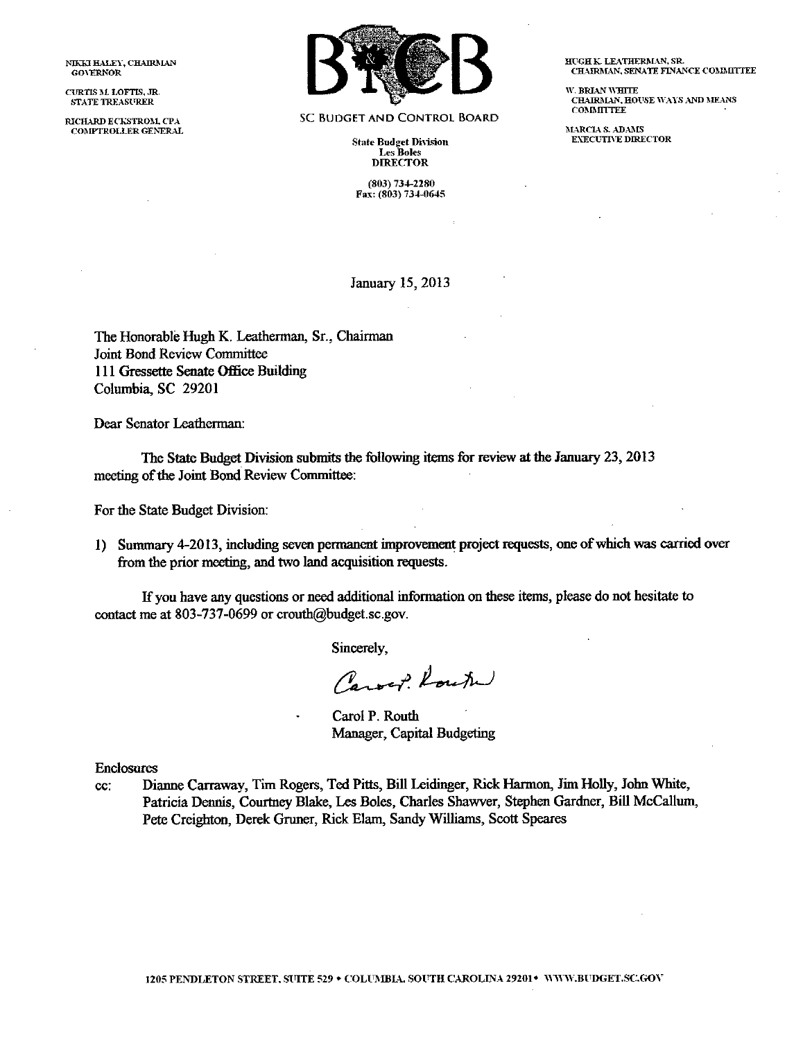NIKKI HALEY, CHAIRMAN GOVERNOR

CURTIS M. LOFTIS, JR. STATE TREASFRER

RICHARD ECKSTROM, CPA COMPTROLLER GENERAL



SC BUDGET AND CONTROL BOARD

**State Budget Division** Les Boles **DIRECTOR** 

(803) 734-2280 Fax: (803) 734-0645 HUGH K. LEATHERMAN, SR. CHAIRMAN, SENATE FINANCE COMMITTEE

w. BRIAN WHITE CHAIRMAN, HOUSE WAYS AND MEANS COMMITTEE

MARCIA S. ADAMS EXECUTIVE DIRECTOR

January 15, 2013

The Honorable Hugh K. Leatherman, Sr., Chairman Joint Bond Review Committee III Gressette Senate Office Building Columbia, SC 29201

Dear Senator Leatherman:

The State Budget Division submits the following items for review at the January 23, 2013 meeting of the Joint Bond Review Committee:

For the State Budget Division:

1) Summary 4-2013, including seven permanent improvement project requests, one of which was carried over from the prior meeting, and two land acquisition requests.

If you have any questions or need additional information on these items, please do not hesitate to contact me at 803-737-0699 or [crouth@budget.sc.gov.](mailto:crouth@budget.sc.gov.)

Sincerely,

Carof. Route

Carol P. Routh Manager, Capital Budgeting

Enclosures

cc: Dianne Carraway, Tim Rogers, Ted Pitts, Bill Leidinger, Rick Harmon, Jim Holly, John White, Patricia Dennis, Courtney Blake, Les Boles, Charles Shawver, Stephen Gardner, BilI McCallum, Pete Creighton, Derek Gruner, Rick Elarn, Sandy Williams, Scott Speares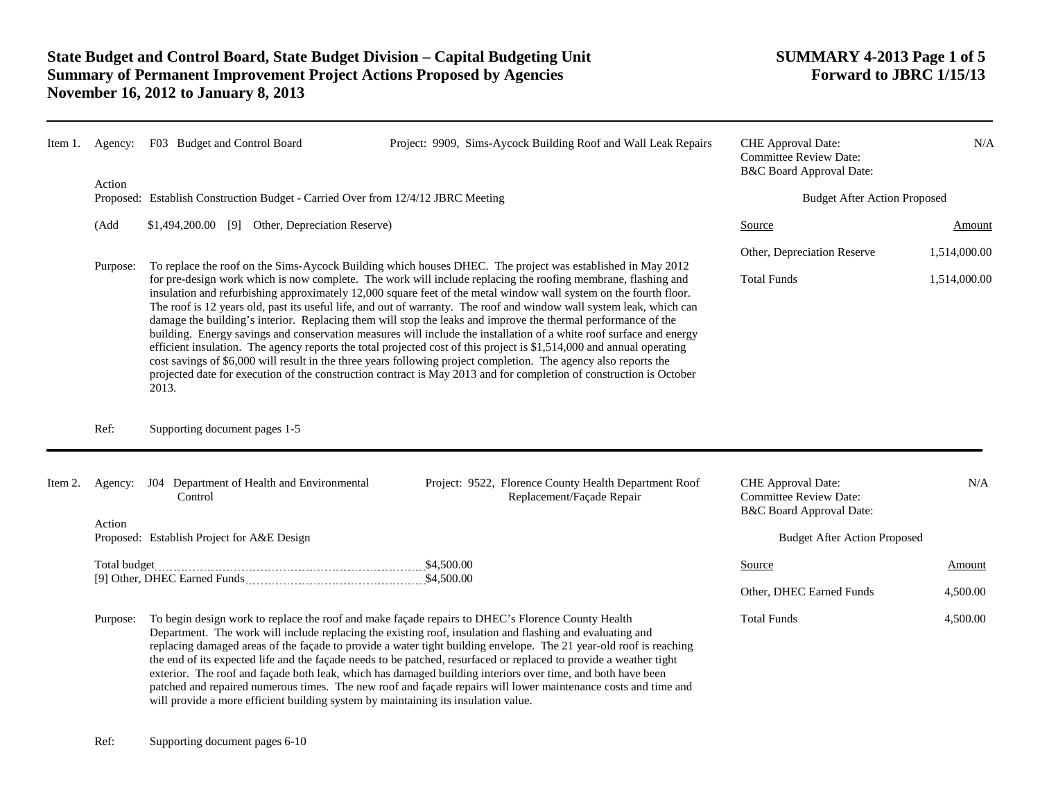| Item 1. |          | Agency: F03 Budget and Control Board                                                                                                                                                                                                                                                                                                                                                                                                                                                                                                                                                                                                                                                                                                                                                                                                                                                                                                                                                                                                                                                          | Project: 9909, Sims-Aycock Building Roof and Wall Leak Repairs                                                                                                                                                                                                                                                                                                                                                                                                                                                                                                                                                                                                                                                                                                                    | CHE Approval Date:<br><b>Committee Review Date:</b><br>B&C Board Approval Date: | N/A          |
|---------|----------|-----------------------------------------------------------------------------------------------------------------------------------------------------------------------------------------------------------------------------------------------------------------------------------------------------------------------------------------------------------------------------------------------------------------------------------------------------------------------------------------------------------------------------------------------------------------------------------------------------------------------------------------------------------------------------------------------------------------------------------------------------------------------------------------------------------------------------------------------------------------------------------------------------------------------------------------------------------------------------------------------------------------------------------------------------------------------------------------------|-----------------------------------------------------------------------------------------------------------------------------------------------------------------------------------------------------------------------------------------------------------------------------------------------------------------------------------------------------------------------------------------------------------------------------------------------------------------------------------------------------------------------------------------------------------------------------------------------------------------------------------------------------------------------------------------------------------------------------------------------------------------------------------|---------------------------------------------------------------------------------|--------------|
|         | Action   | Proposed: Establish Construction Budget - Carried Over from 12/4/12 JBRC Meeting                                                                                                                                                                                                                                                                                                                                                                                                                                                                                                                                                                                                                                                                                                                                                                                                                                                                                                                                                                                                              |                                                                                                                                                                                                                                                                                                                                                                                                                                                                                                                                                                                                                                                                                                                                                                                   | <b>Budget After Action Proposed</b>                                             |              |
|         | (Add     | \$1,494,200.00 [9] Other, Depreciation Reserve)                                                                                                                                                                                                                                                                                                                                                                                                                                                                                                                                                                                                                                                                                                                                                                                                                                                                                                                                                                                                                                               |                                                                                                                                                                                                                                                                                                                                                                                                                                                                                                                                                                                                                                                                                                                                                                                   | Source                                                                          | Amount       |
|         |          | To replace the roof on the Sims-Aycock Building which houses DHEC. The project was established in May 2012<br>for pre-design work which is now complete. The work will include replacing the roofing membrane, flashing and<br>insulation and refurbishing approximately 12,000 square feet of the metal window wall system on the fourth floor.<br>The roof is 12 years old, past its useful life, and out of warranty. The roof and window wall system leak, which can<br>damage the building's interior. Replacing them will stop the leaks and improve the thermal performance of the<br>building. Energy savings and conservation measures will include the installation of a white roof surface and energy<br>efficient insulation. The agency reports the total projected cost of this project is \$1,514,000 and annual operating<br>cost savings of \$6,000 will result in the three years following project completion. The agency also reports the<br>projected date for execution of the construction contract is May 2013 and for completion of construction is October<br>2013. |                                                                                                                                                                                                                                                                                                                                                                                                                                                                                                                                                                                                                                                                                                                                                                                   | Other, Depreciation Reserve                                                     | 1,514,000.00 |
|         | Purpose: |                                                                                                                                                                                                                                                                                                                                                                                                                                                                                                                                                                                                                                                                                                                                                                                                                                                                                                                                                                                                                                                                                               |                                                                                                                                                                                                                                                                                                                                                                                                                                                                                                                                                                                                                                                                                                                                                                                   | <b>Total Funds</b>                                                              | 1,514,000.00 |
|         | Ref:     | Supporting document pages 1-5                                                                                                                                                                                                                                                                                                                                                                                                                                                                                                                                                                                                                                                                                                                                                                                                                                                                                                                                                                                                                                                                 |                                                                                                                                                                                                                                                                                                                                                                                                                                                                                                                                                                                                                                                                                                                                                                                   |                                                                                 |              |
| Item 2. |          | Agency: J04 Department of Health and Environmental<br>Control                                                                                                                                                                                                                                                                                                                                                                                                                                                                                                                                                                                                                                                                                                                                                                                                                                                                                                                                                                                                                                 | Project: 9522, Florence County Health Department Roof<br>Replacement/Façade Repair                                                                                                                                                                                                                                                                                                                                                                                                                                                                                                                                                                                                                                                                                                | CHE Approval Date:<br><b>Committee Review Date:</b><br>B&C Board Approval Date: | N/A          |
|         | Action   | Proposed: Establish Project for A&E Design                                                                                                                                                                                                                                                                                                                                                                                                                                                                                                                                                                                                                                                                                                                                                                                                                                                                                                                                                                                                                                                    |                                                                                                                                                                                                                                                                                                                                                                                                                                                                                                                                                                                                                                                                                                                                                                                   | <b>Budget After Action Proposed</b>                                             |              |
|         |          |                                                                                                                                                                                                                                                                                                                                                                                                                                                                                                                                                                                                                                                                                                                                                                                                                                                                                                                                                                                                                                                                                               |                                                                                                                                                                                                                                                                                                                                                                                                                                                                                                                                                                                                                                                                                                                                                                                   | Source                                                                          | Amount       |
|         |          |                                                                                                                                                                                                                                                                                                                                                                                                                                                                                                                                                                                                                                                                                                                                                                                                                                                                                                                                                                                                                                                                                               |                                                                                                                                                                                                                                                                                                                                                                                                                                                                                                                                                                                                                                                                                                                                                                                   | Other, DHEC Earned Funds                                                        | 4,500.00     |
|         | Purpose: |                                                                                                                                                                                                                                                                                                                                                                                                                                                                                                                                                                                                                                                                                                                                                                                                                                                                                                                                                                                                                                                                                               | To begin design work to replace the roof and make façade repairs to DHEC's Florence County Health<br>Department. The work will include replacing the existing roof, insulation and flashing and evaluating and<br>replacing damaged areas of the façade to provide a water tight building envelope. The 21 year-old roof is reaching<br>the end of its expected life and the façade needs to be patched, resurfaced or replaced to provide a weather tight<br>exterior. The roof and façade both leak, which has damaged building interiors over time, and both have been<br>patched and repaired numerous times. The new roof and façade repairs will lower maintenance costs and time and<br>will provide a more efficient building system by maintaining its insulation value. | <b>Total Funds</b>                                                              | 4,500.00     |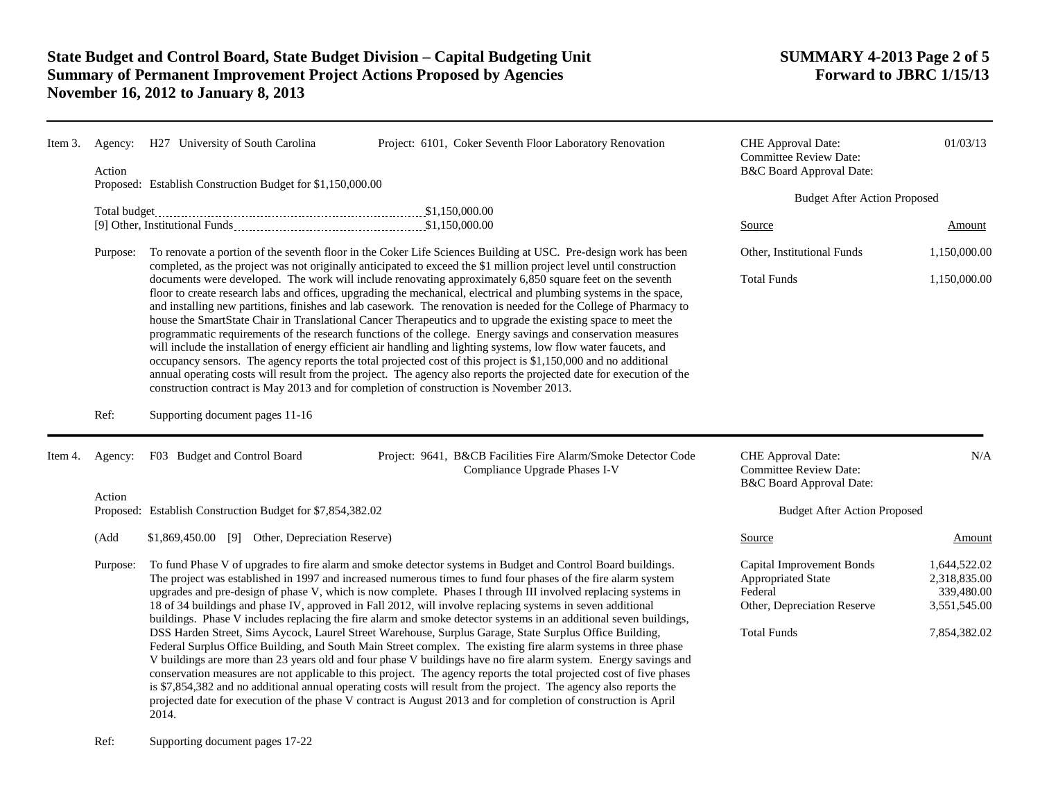| Item 3. | Agency:<br>Action | H27 University of South Carolina<br>Project: 6101, Coker Seventh Floor Laboratory Renovation<br>Proposed: Establish Construction Budget for \$1,150,000.00<br>Total budget                                                                                                                                                                                                                                                                                                                                                                                                                                                                                                                                                                                                                                                                                                                                                                                                                                                                                                                                                                                                                                                                                                                                |                                                                                                | CHE Approval Date:<br><b>Committee Review Date:</b><br>B&C Board Approval Date:                                 | 01/03/13                                                                   |
|---------|-------------------|-----------------------------------------------------------------------------------------------------------------------------------------------------------------------------------------------------------------------------------------------------------------------------------------------------------------------------------------------------------------------------------------------------------------------------------------------------------------------------------------------------------------------------------------------------------------------------------------------------------------------------------------------------------------------------------------------------------------------------------------------------------------------------------------------------------------------------------------------------------------------------------------------------------------------------------------------------------------------------------------------------------------------------------------------------------------------------------------------------------------------------------------------------------------------------------------------------------------------------------------------------------------------------------------------------------|------------------------------------------------------------------------------------------------|-----------------------------------------------------------------------------------------------------------------|----------------------------------------------------------------------------|
|         |                   |                                                                                                                                                                                                                                                                                                                                                                                                                                                                                                                                                                                                                                                                                                                                                                                                                                                                                                                                                                                                                                                                                                                                                                                                                                                                                                           |                                                                                                |                                                                                                                 | <b>Budget After Action Proposed</b>                                        |
|         |                   |                                                                                                                                                                                                                                                                                                                                                                                                                                                                                                                                                                                                                                                                                                                                                                                                                                                                                                                                                                                                                                                                                                                                                                                                                                                                                                           |                                                                                                | Source                                                                                                          | Amount                                                                     |
|         | Purpose:          | To renovate a portion of the seventh floor in the Coker Life Sciences Building at USC. Pre-design work has been<br>completed, as the project was not originally anticipated to exceed the \$1 million project level until construction<br>documents were developed. The work will include renovating approximately 6,850 square feet on the seventh<br>floor to create research labs and offices, upgrading the mechanical, electrical and plumbing systems in the space,<br>and installing new partitions, finishes and lab casework. The renovation is needed for the College of Pharmacy to<br>house the SmartState Chair in Translational Cancer Therapeutics and to upgrade the existing space to meet the<br>programmatic requirements of the research functions of the college. Energy savings and conservation measures<br>will include the installation of energy efficient air handling and lighting systems, low flow water faucets, and<br>occupancy sensors. The agency reports the total projected cost of this project is \$1,150,000 and no additional<br>annual operating costs will result from the project. The agency also reports the projected date for execution of the<br>construction contract is May 2013 and for completion of construction is November 2013.                  |                                                                                                | Other, Institutional Funds                                                                                      | 1,150,000.00                                                               |
|         |                   |                                                                                                                                                                                                                                                                                                                                                                                                                                                                                                                                                                                                                                                                                                                                                                                                                                                                                                                                                                                                                                                                                                                                                                                                                                                                                                           |                                                                                                | <b>Total Funds</b>                                                                                              | 1,150,000.00                                                               |
|         | Ref:              | Supporting document pages 11-16                                                                                                                                                                                                                                                                                                                                                                                                                                                                                                                                                                                                                                                                                                                                                                                                                                                                                                                                                                                                                                                                                                                                                                                                                                                                           |                                                                                                |                                                                                                                 |                                                                            |
| Item 4. | Agency:           | F03 Budget and Control Board                                                                                                                                                                                                                                                                                                                                                                                                                                                                                                                                                                                                                                                                                                                                                                                                                                                                                                                                                                                                                                                                                                                                                                                                                                                                              | Project: 9641, B&CB Facilities Fire Alarm/Smoke Detector Code<br>Compliance Upgrade Phases I-V | CHE Approval Date:<br><b>Committee Review Date:</b><br>B&C Board Approval Date:                                 | N/A                                                                        |
|         | Action            |                                                                                                                                                                                                                                                                                                                                                                                                                                                                                                                                                                                                                                                                                                                                                                                                                                                                                                                                                                                                                                                                                                                                                                                                                                                                                                           |                                                                                                |                                                                                                                 |                                                                            |
|         |                   | Proposed: Establish Construction Budget for \$7,854,382.02                                                                                                                                                                                                                                                                                                                                                                                                                                                                                                                                                                                                                                                                                                                                                                                                                                                                                                                                                                                                                                                                                                                                                                                                                                                |                                                                                                | <b>Budget After Action Proposed</b>                                                                             |                                                                            |
|         | (Add              | \$1,869,450.00 [9] Other, Depreciation Reserve)                                                                                                                                                                                                                                                                                                                                                                                                                                                                                                                                                                                                                                                                                                                                                                                                                                                                                                                                                                                                                                                                                                                                                                                                                                                           |                                                                                                | Source                                                                                                          | Amount                                                                     |
|         | Purpose:          | To fund Phase V of upgrades to fire alarm and smoke detector systems in Budget and Control Board buildings.<br>The project was established in 1997 and increased numerous times to fund four phases of the fire alarm system<br>upgrades and pre-design of phase V, which is now complete. Phases I through III involved replacing systems in<br>18 of 34 buildings and phase IV, approved in Fall 2012, will involve replacing systems in seven additional<br>buildings. Phase V includes replacing the fire alarm and smoke detector systems in an additional seven buildings,<br>DSS Harden Street, Sims Aycock, Laurel Street Warehouse, Surplus Garage, State Surplus Office Building,<br>Federal Surplus Office Building, and South Main Street complex. The existing fire alarm systems in three phase<br>V buildings are more than 23 years old and four phase V buildings have no fire alarm system. Energy savings and<br>conservation measures are not applicable to this project. The agency reports the total projected cost of five phases<br>is \$7,854,382 and no additional annual operating costs will result from the project. The agency also reports the<br>projected date for execution of the phase V contract is August 2013 and for completion of construction is April<br>2014. |                                                                                                | Capital Improvement Bonds<br>Appropriated State<br>Federal<br>Other, Depreciation Reserve<br><b>Total Funds</b> | 1,644,522.02<br>2,318,835.00<br>339,480.00<br>3,551,545.00<br>7,854,382.02 |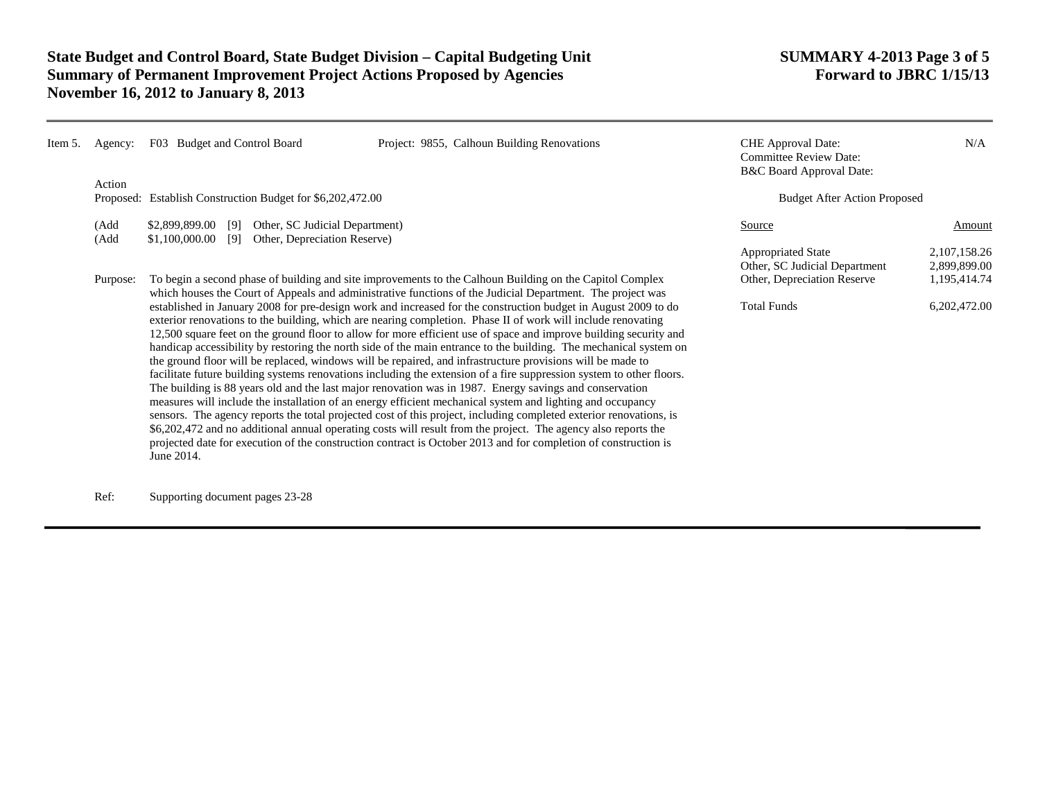| Item 5. | Agency:      | F03 Budget and Control Board                                                                                                                                                                                                                                                                                                                                                                                                                                                                                                                                                                                                                                                                                                                                                                                                                                                                                                                                                                                                                                                                                                                                                                                                                                                                                                                                                                                                                                                                                                               | Project: 9855, Calhoun Building Renovations | <b>CHE</b> Approval Date:<br><b>Committee Review Date:</b><br>B&C Board Approval Date: | N/A                             |
|---------|--------------|--------------------------------------------------------------------------------------------------------------------------------------------------------------------------------------------------------------------------------------------------------------------------------------------------------------------------------------------------------------------------------------------------------------------------------------------------------------------------------------------------------------------------------------------------------------------------------------------------------------------------------------------------------------------------------------------------------------------------------------------------------------------------------------------------------------------------------------------------------------------------------------------------------------------------------------------------------------------------------------------------------------------------------------------------------------------------------------------------------------------------------------------------------------------------------------------------------------------------------------------------------------------------------------------------------------------------------------------------------------------------------------------------------------------------------------------------------------------------------------------------------------------------------------------|---------------------------------------------|----------------------------------------------------------------------------------------|---------------------------------|
|         | Action       | Proposed: Establish Construction Budget for \$6,202,472.00                                                                                                                                                                                                                                                                                                                                                                                                                                                                                                                                                                                                                                                                                                                                                                                                                                                                                                                                                                                                                                                                                                                                                                                                                                                                                                                                                                                                                                                                                 |                                             | <b>Budget After Action Proposed</b>                                                    |                                 |
|         | (Add<br>(Add | Other, SC Judicial Department)<br>\$2,899,899.00<br>[9]<br>\$1,100,000.00<br>Other, Depreciation Reserve)<br>[9]                                                                                                                                                                                                                                                                                                                                                                                                                                                                                                                                                                                                                                                                                                                                                                                                                                                                                                                                                                                                                                                                                                                                                                                                                                                                                                                                                                                                                           |                                             | Source                                                                                 | Amount                          |
|         |              |                                                                                                                                                                                                                                                                                                                                                                                                                                                                                                                                                                                                                                                                                                                                                                                                                                                                                                                                                                                                                                                                                                                                                                                                                                                                                                                                                                                                                                                                                                                                            |                                             | <b>Appropriated State</b><br>Other, SC Judicial Department                             | 2, 107, 158. 26<br>2,899,899.00 |
|         | Purpose:     | To begin a second phase of building and site improvements to the Calhoun Building on the Capitol Complex<br>which houses the Court of Appeals and administrative functions of the Judicial Department. The project was<br>established in January 2008 for pre-design work and increased for the construction budget in August 2009 to do<br>exterior renovations to the building, which are nearing completion. Phase II of work will include renovating<br>12,500 square feet on the ground floor to allow for more efficient use of space and improve building security and<br>handicap accessibility by restoring the north side of the main entrance to the building. The mechanical system on<br>the ground floor will be replaced, windows will be repaired, and infrastructure provisions will be made to<br>facilitate future building systems renovations including the extension of a fire suppression system to other floors.<br>The building is 88 years old and the last major renovation was in 1987. Energy savings and conservation<br>measures will include the installation of an energy efficient mechanical system and lighting and occupancy<br>sensors. The agency reports the total projected cost of this project, including completed exterior renovations, is<br>\$6,202,472 and no additional annual operating costs will result from the project. The agency also reports the<br>projected date for execution of the construction contract is October 2013 and for completion of construction is<br>June 2014. |                                             | Other, Depreciation Reserve                                                            | 1,195,414.74                    |
|         |              |                                                                                                                                                                                                                                                                                                                                                                                                                                                                                                                                                                                                                                                                                                                                                                                                                                                                                                                                                                                                                                                                                                                                                                                                                                                                                                                                                                                                                                                                                                                                            |                                             | <b>Total Funds</b>                                                                     | 6,202,472.00                    |

Ref: Supporting document pages 23-28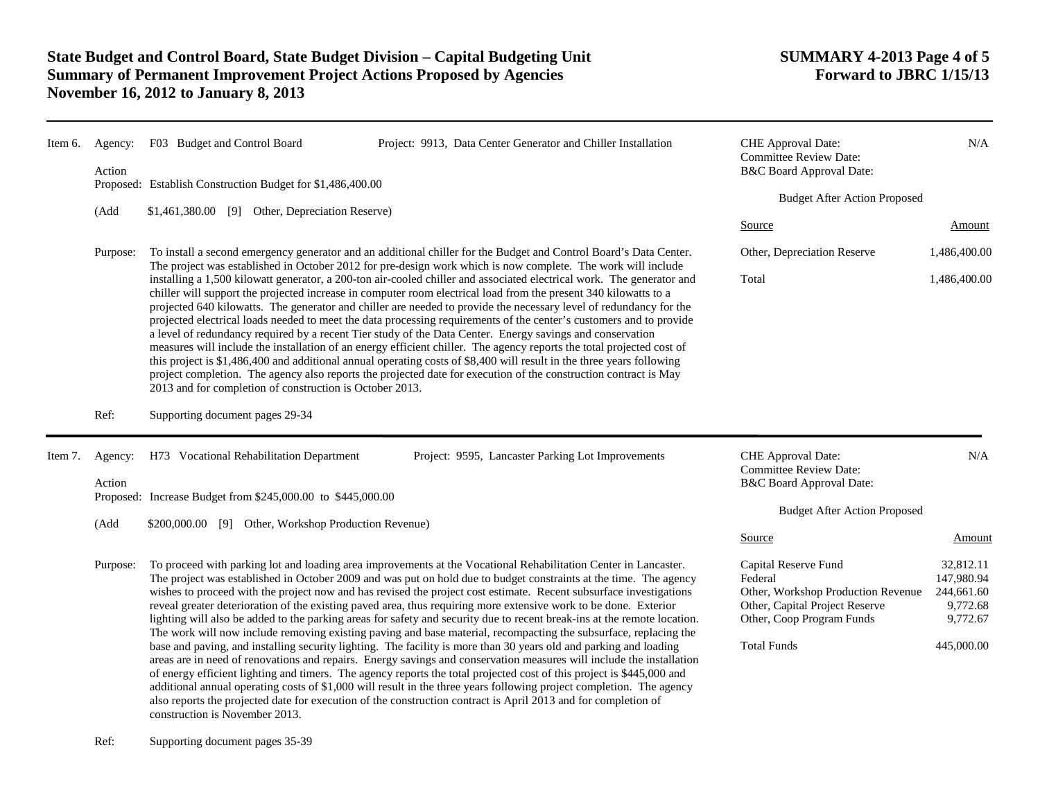| Item 6. | Agency:           | F03 Budget and Control Board                                                                                                                                                                                                                                                                                                                                                                                                                                                                                                                                                                                                                                                                                                                                                                                                                                                                                                                                                                                                                                                                                                                                                                                                                                                                                                                                                     | Project: 9913, Data Center Generator and Chiller Installation | CHE Approval Date:<br><b>Committee Review Date:</b>                                                                                                        | N/A                                                                         |
|---------|-------------------|----------------------------------------------------------------------------------------------------------------------------------------------------------------------------------------------------------------------------------------------------------------------------------------------------------------------------------------------------------------------------------------------------------------------------------------------------------------------------------------------------------------------------------------------------------------------------------------------------------------------------------------------------------------------------------------------------------------------------------------------------------------------------------------------------------------------------------------------------------------------------------------------------------------------------------------------------------------------------------------------------------------------------------------------------------------------------------------------------------------------------------------------------------------------------------------------------------------------------------------------------------------------------------------------------------------------------------------------------------------------------------|---------------------------------------------------------------|------------------------------------------------------------------------------------------------------------------------------------------------------------|-----------------------------------------------------------------------------|
|         | Action            | Proposed: Establish Construction Budget for \$1,486,400.00                                                                                                                                                                                                                                                                                                                                                                                                                                                                                                                                                                                                                                                                                                                                                                                                                                                                                                                                                                                                                                                                                                                                                                                                                                                                                                                       |                                                               | B&C Board Approval Date:                                                                                                                                   |                                                                             |
|         |                   | \$1,461,380.00 [9] Other, Depreciation Reserve)                                                                                                                                                                                                                                                                                                                                                                                                                                                                                                                                                                                                                                                                                                                                                                                                                                                                                                                                                                                                                                                                                                                                                                                                                                                                                                                                  |                                                               | <b>Budget After Action Proposed</b>                                                                                                                        |                                                                             |
|         | (Add              |                                                                                                                                                                                                                                                                                                                                                                                                                                                                                                                                                                                                                                                                                                                                                                                                                                                                                                                                                                                                                                                                                                                                                                                                                                                                                                                                                                                  |                                                               |                                                                                                                                                            |                                                                             |
|         |                   |                                                                                                                                                                                                                                                                                                                                                                                                                                                                                                                                                                                                                                                                                                                                                                                                                                                                                                                                                                                                                                                                                                                                                                                                                                                                                                                                                                                  |                                                               | Source                                                                                                                                                     | <b>Amount</b>                                                               |
|         | Purpose:          | To install a second emergency generator and an additional chiller for the Budget and Control Board's Data Center.<br>The project was established in October 2012 for pre-design work which is now complete. The work will include<br>installing a 1,500 kilowatt generator, a 200-ton air-cooled chiller and associated electrical work. The generator and<br>chiller will support the projected increase in computer room electrical load from the present 340 kilowatts to a<br>projected 640 kilowatts. The generator and chiller are needed to provide the necessary level of redundancy for the<br>projected electrical loads needed to meet the data processing requirements of the center's customers and to provide<br>a level of redundancy required by a recent Tier study of the Data Center. Energy savings and conservation<br>measures will include the installation of an energy efficient chiller. The agency reports the total projected cost of<br>this project is \$1,486,400 and additional annual operating costs of \$8,400 will result in the three years following<br>project completion. The agency also reports the projected date for execution of the construction contract is May<br>2013 and for completion of construction is October 2013.                                                                                                       |                                                               | Other, Depreciation Reserve                                                                                                                                | 1,486,400.00                                                                |
|         |                   |                                                                                                                                                                                                                                                                                                                                                                                                                                                                                                                                                                                                                                                                                                                                                                                                                                                                                                                                                                                                                                                                                                                                                                                                                                                                                                                                                                                  |                                                               | Total                                                                                                                                                      | 1,486,400.00                                                                |
|         | Ref:              | Supporting document pages 29-34                                                                                                                                                                                                                                                                                                                                                                                                                                                                                                                                                                                                                                                                                                                                                                                                                                                                                                                                                                                                                                                                                                                                                                                                                                                                                                                                                  |                                                               |                                                                                                                                                            |                                                                             |
| Item 7. | Agency:<br>Action | H73 Vocational Rehabilitation Department                                                                                                                                                                                                                                                                                                                                                                                                                                                                                                                                                                                                                                                                                                                                                                                                                                                                                                                                                                                                                                                                                                                                                                                                                                                                                                                                         | Project: 9595, Lancaster Parking Lot Improvements             | CHE Approval Date:<br><b>Committee Review Date:</b><br>B&C Board Approval Date:                                                                            | N/A                                                                         |
|         |                   | Proposed: Increase Budget from \$245,000.00 to \$445,000.00                                                                                                                                                                                                                                                                                                                                                                                                                                                                                                                                                                                                                                                                                                                                                                                                                                                                                                                                                                                                                                                                                                                                                                                                                                                                                                                      |                                                               |                                                                                                                                                            |                                                                             |
|         | (Add              | \$200,000.00 [9] Other, Workshop Production Revenue)                                                                                                                                                                                                                                                                                                                                                                                                                                                                                                                                                                                                                                                                                                                                                                                                                                                                                                                                                                                                                                                                                                                                                                                                                                                                                                                             |                                                               | <b>Budget After Action Proposed</b>                                                                                                                        |                                                                             |
|         |                   |                                                                                                                                                                                                                                                                                                                                                                                                                                                                                                                                                                                                                                                                                                                                                                                                                                                                                                                                                                                                                                                                                                                                                                                                                                                                                                                                                                                  |                                                               | Source                                                                                                                                                     | Amount                                                                      |
|         | Purpose:          | To proceed with parking lot and loading area improvements at the Vocational Rehabilitation Center in Lancaster.<br>The project was established in October 2009 and was put on hold due to budget constraints at the time. The agency<br>wishes to proceed with the project now and has revised the project cost estimate. Recent subsurface investigations<br>reveal greater deterioration of the existing paved area, thus requiring more extensive work to be done. Exterior<br>lighting will also be added to the parking areas for safety and security due to recent break-ins at the remote location.<br>The work will now include removing existing paving and base material, recompacting the subsurface, replacing the<br>base and paving, and installing security lighting. The facility is more than 30 years old and parking and loading<br>areas are in need of renovations and repairs. Energy savings and conservation measures will include the installation<br>of energy efficient lighting and timers. The agency reports the total projected cost of this project is \$445,000 and<br>additional annual operating costs of \$1,000 will result in the three years following project completion. The agency<br>also reports the projected date for execution of the construction contract is April 2013 and for completion of<br>construction is November 2013. |                                                               | Capital Reserve Fund<br>Federal<br>Other, Workshop Production Revenue<br>Other, Capital Project Reserve<br>Other, Coop Program Funds<br><b>Total Funds</b> | 32.812.11<br>147,980.94<br>244,661.60<br>9,772.68<br>9,772.67<br>445,000.00 |